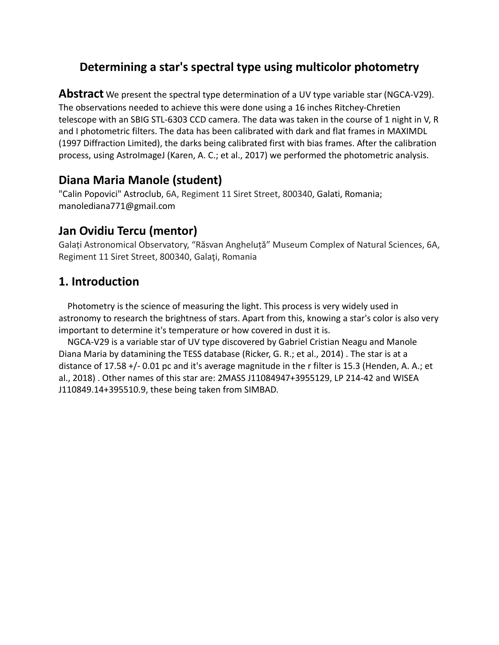# **Determining a star's spectral type using multicolor photometry**

**Abstract** We present the spectral type determination of a UV type variable star (NGCA-V29). The observations needed to achieve this were done using a 16 inches Ritchey-Chretien telescope with an SBIG STL-6303 CCD camera. The data was taken in the course of 1 night in V, R and I photometric filters. The data has been calibrated with dark and flat frames in MAXIMDL (1997 Diffraction Limited), the darks being calibrated first with bias frames. After the calibration process, using AstroImageJ (Karen, A. C.; et al., 2017) we performed the photometric analysis.

## **Diana Maria Manole (student)**

"Calin Popovici" Astroclub, 6A, Regiment 11 Siret Street, 800340, Galati, Romania; manolediana771@gmail.com

# **Jan Ovidiu Tercu (mentor)**

Galați Astronomical Observatory, "Răsvan Angheluță" Museum Complex of Natural Sciences, 6A, Regiment 11 Siret Street, 800340, Galaţi, Romania

# **1. Introduction**

 Photometry is the science of measuring the light. This process is very widely used in astronomy to research the brightness of stars. Apart from this, knowing a star's color is also very important to determine it's temperature or how covered in dust it is.

 NGCA-V29 is a variable star of UV type discovered by Gabriel Cristian Neagu and Manole Diana Maria by datamining the TESS database (Ricker, G. R.; et al., 2014) . The star is at a distance of 17.58 +/- 0.01 pc and it's average magnitude in the r filter is 15.3 (Henden, A. A.; et al., 2018) . Other names of this star are: 2MASS J11084947+3955129, LP 214-42 and WISEA J110849.14+395510.9, these being taken from SIMBAD.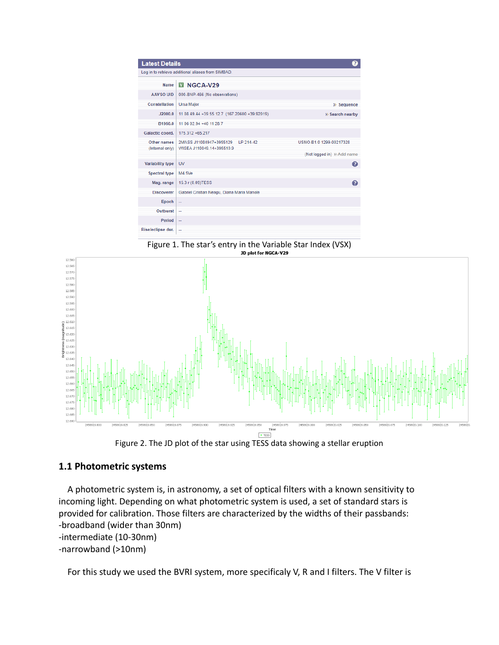| <b>Latest Details</b>                              |                                                                   |                             |  |
|----------------------------------------------------|-------------------------------------------------------------------|-----------------------------|--|
| Log in to retrieve additional aliases from SIMBAD. |                                                                   |                             |  |
| <b>Name</b>                                        | <b>V NGCA-V29</b>                                                 |                             |  |
| AAVSO UID                                          | 000-BNP-466 (No observations)                                     |                             |  |
| Constellation                                      | <b>Ursa Major</b>                                                 | >> Sequence                 |  |
| J2000.0                                            | 11 08 49 44 + 39 55 12.7 (167.20600 + 39.92019)                   | >> Search nearby            |  |
| B1950.0                                            | 11 06 02 94 +40 11 28 7                                           |                             |  |
| Galactic coord.                                    | 175.312 +65.217                                                   |                             |  |
| Other names<br>(Internal only)                     | 2MASS J11084947+3955129<br>IP 214-42<br>WISEA J110849 14+395510 9 | USNO-B1.0 1299-00217328     |  |
|                                                    |                                                                   | (Not logged in) >> Add name |  |
| Variability type                                   | <b>UV</b>                                                         | Ω                           |  |
| Spectral type                                      | M4.5Ve                                                            |                             |  |
| Mag. range                                         | 15.3 r (0.09)TESS                                                 | Ω                           |  |
| <b>Discoverer</b>                                  | Gabriel Cristian Neagu, Diana Maria Manole                        |                             |  |
| Epoch                                              | $\overline{\phantom{a}}$                                          |                             |  |
| Outburst                                           | $\sim$                                                            |                             |  |
| Period                                             | $\sim$                                                            |                             |  |
| Rise/eclipse dur.                                  | ÷                                                                 |                             |  |

Figure 1. The star's entry in the Variable Star Index (VSX)<br>phot for NGCA-V29





#### **1.1 Photometric systems**

 A photometric system is, in astronomy, a set of optical filters with a known sensitivity to incoming light. Depending on what photometric system is used, a set of standard stars is provided for calibration. Those filters are characterized by the widths of their passbands: -broadband (wider than 30nm) -intermediate (10-30nm) -narrowband (>10nm)

For this study we used the BVRI system, more specificaly V, R and I filters. The V filter is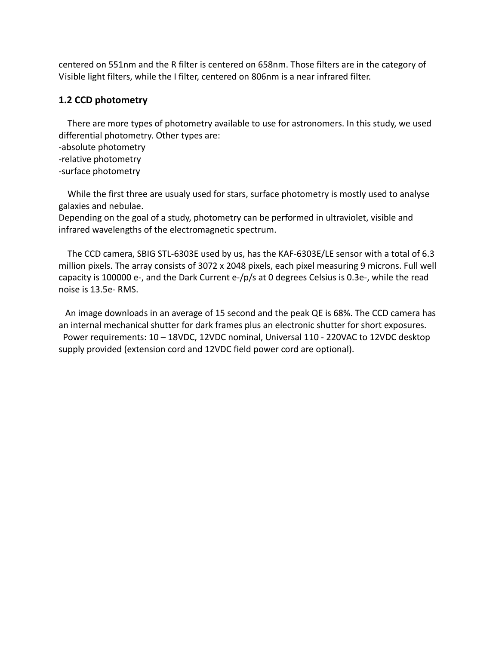centered on 551nm and the R filter is centered on 658nm. Those filters are in the category of Visible light filters, while the I filter, centered on 806nm is a near infrared filter.

#### **1.2 CCD photometry**

 There are more types of photometry available to use for astronomers. In this study, we used differential photometry. Other types are:

- -absolute photometry
- -relative photometry
- -surface photometry

 While the first three are usualy used for stars, surface photometry is mostly used to analyse galaxies and nebulae.

Depending on the goal of a study, photometry can be performed in ultraviolet, visible and infrared wavelengths of the electromagnetic spectrum.

 The CCD camera, SBIG STL-6303E used by us, has the KAF-6303E/LE sensor with a total of 6.3 million pixels. The array consists of 3072 x 2048 pixels, each pixel measuring 9 microns. Full well capacity is 100000 e-, and the Dark Current e-/p/s at 0 degrees Celsius is 0.3e-, while the read noise is 13.5e- RMS.

 An image downloads in an average of 15 second and the peak QE is 68%. The CCD camera has an internal mechanical shutter for dark frames plus an electronic shutter for short exposures. Power requirements: 10 – 18VDC, 12VDC nominal, Universal 110 - 220VAC to 12VDC desktop supply provided (extension cord and 12VDC field power cord are optional).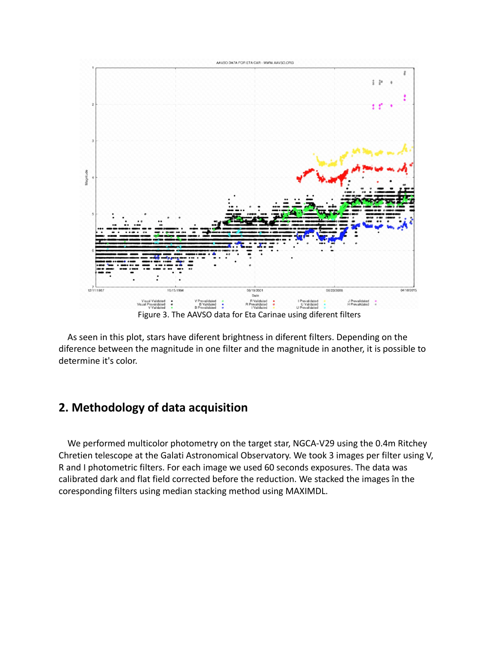

 As seen in this plot, stars have diferent brightness in diferent filters. Depending on the diference between the magnitude in one filter and the magnitude in another, it is possible to determine it's color.

### **2. Methodology of data acquisition**

 We performed multicolor photometry on the target star, NGCA-V29 using the 0.4m Ritchey Chretien telescope at the Galati Astronomical Observatory. We took 3 images per filter using V, R and I photometric filters. For each image we used 60 seconds exposures. The data was calibrated dark and flat field corrected before the reduction. We stacked the images în the coresponding filters using median stacking method using MAXIMDL.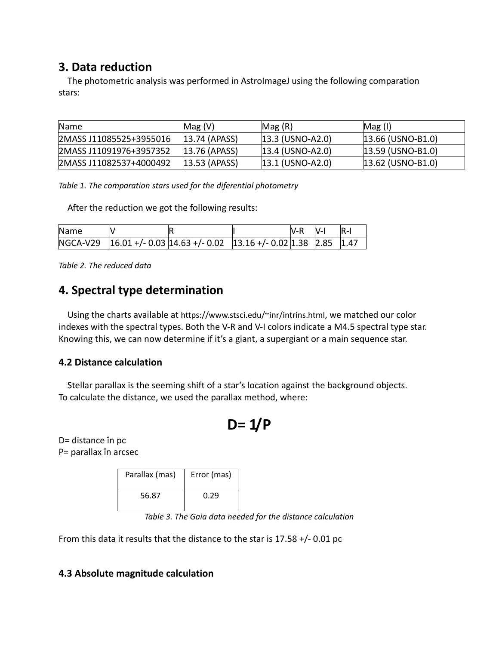## **3. Data reduction**

The photometric analysis was performed in AstroImageJ using the following comparation stars:

| Name                    | Mag(V)            | Mag(R)                      | Mag (I)               |
|-------------------------|-------------------|-----------------------------|-----------------------|
| 2MASS J11085525+3955016 | $ 13.74 $ (APASS) | $ 13.3 $ (USNO-A2.0)        | $ 13.66 $ (USNO-B1.0) |
| 2MASS J11091976+3957352 | 13.76 (APASS)     | $ 13.4 \rangle$ (USNO-A2.0) | $ 13.59 $ (USNO-B1.0) |
| 2MASS J11082537+4000492 | $ 13.53 $ (APASS) | $ 13.1 \, (USNO-A2.0)$      | $ 13.62 $ (USNO-B1.0) |

*Table 1. The comparation stars used for the diferential photometry*

After the reduction we got the following results:

| Name |                                                                                 | IV-R | $N-I$ | $R-I$ |
|------|---------------------------------------------------------------------------------|------|-------|-------|
|      | $NGCA-V29$ $ 16.01 + (-0.03)14.63 + (-0.02)13.16 + (-0.02)1.38$ $ 2.85$ $ 1.47$ |      |       |       |

*Table 2. The reduced data*

## **4. Spectral type determination**

 Using the charts available at https://www.stsci.edu/~inr/intrins.html, we matched our color indexes with the spectral types. Both the V-R and V-I colors indicate a M4.5 spectral type star. Knowing this, we can now determine if it's a giant, a supergiant or a main sequence star.

#### **4.2 Distance calculation**

 Stellar parallax is the seeming shift of a star's location against the background objects. To calculate the distance, we used the parallax method, where:

$$
D = 1/P
$$

D= distance în pc P= parallax în arcsec

| Parallax (mas) | Error (mas) |  |  |
|----------------|-------------|--|--|
| 56.87          | 0.29        |  |  |

*Table 3. The Gaia data needed for the distance calculation*

From this data it results that the distance to the star is 17.58 +/- 0.01 pc

#### **4.3 Absolute magnitude calculation**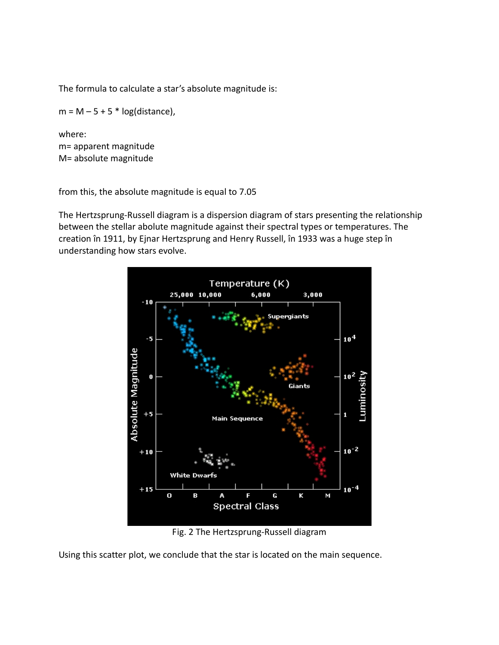The formula to calculate a star's absolute magnitude is:

 $m = M - 5 + 5 * log(distance)$ ,

where: m= apparent magnitude M= absolute magnitude

from this, the absolute magnitude is equal to 7.05

The Hertzsprung-Russell diagram is a dispersion diagram of stars presenting the relationship between the stellar abolute magnitude against their spectral types or temperatures. The creation în 1911, by Ejnar Hertzsprung and Henry Russell, în 1933 was a huge step în understanding how stars evolve.



Fig. 2 The Hertzsprung-Russell diagram

Using this scatter plot, we conclude that the star is located on the main sequence.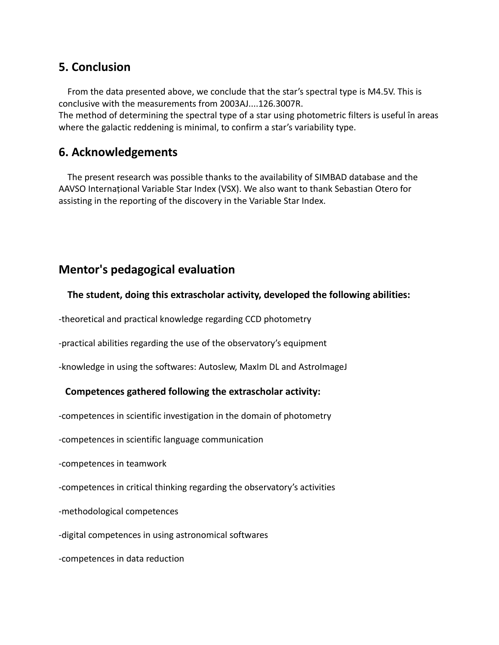### **5. Conclusion**

 From the data presented above, we conclude that the star's spectral type is M4.5V. This is conclusive with the measurements from 2003AJ....126.3007R.

The method of determining the spectral type of a star using photometric filters is useful în areas where the galactic reddening is minimal, to confirm a star's variability type.

### **6. Acknowledgements**

 The present research was possible thanks to the availability of SIMBAD database and the AAVSO Internațional Variable Star Index (VSX). We also want to thank Sebastian Otero for assisting in the reporting of the discovery in the Variable Star Index.

### **Mentor's pedagogical evaluation**

#### **The student, doing this extrascholar activity, developed the following abilities:**

-theoretical and practical knowledge regarding CCD photometry

-practical abilities regarding the use of the observatory's equipment

-knowledge in using the softwares: Autoslew, MaxIm DL and AstroImageJ

#### **Competences gathered following the extrascholar activity:**

-competences in scientific investigation in the domain of photometry

-competences in scientific language communication

-competences in teamwork

-competences in critical thinking regarding the observatory's activities

-methodological competences

-digital competences in using astronomical softwares

-competences in data reduction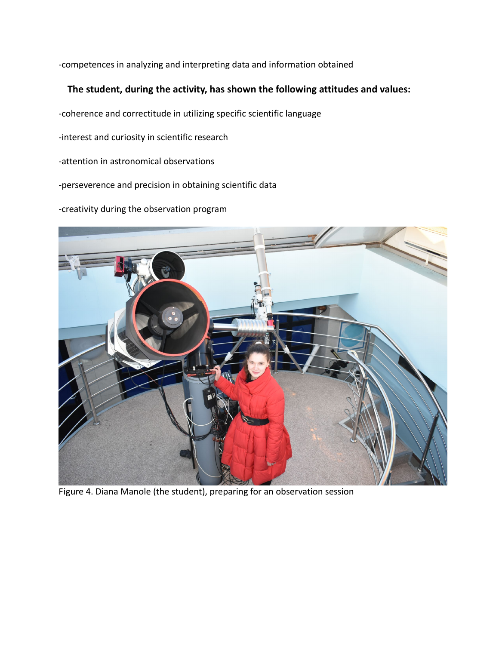-competences in analyzing and interpreting data and information obtained

#### **The student, during the activity, has shown the following attitudes and values:**

-coherence and correctitude in utilizing specific scientific language

-interest and curiosity in scientific research

-attention in astronomical observations

-perseverence and precision in obtaining scientific data

-creativity during the observation program



Figure 4. Diana Manole (the student), preparing for an observation session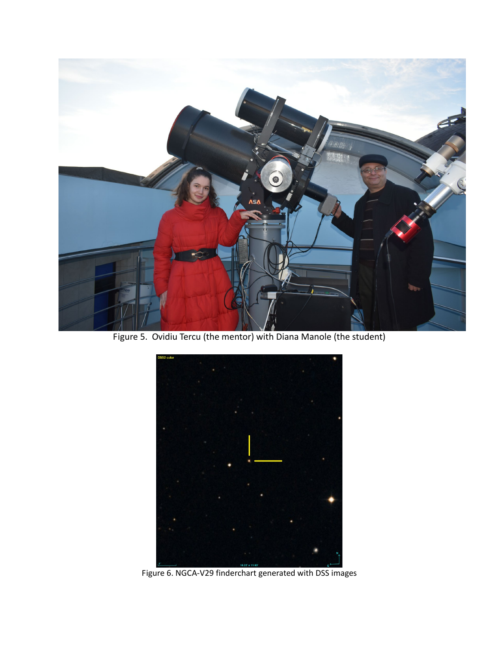

Figure 5. Ovidiu Tercu (the mentor) with Diana Manole (the student)



Figure 6. NGCA-V29 finderchart generated with DSS images